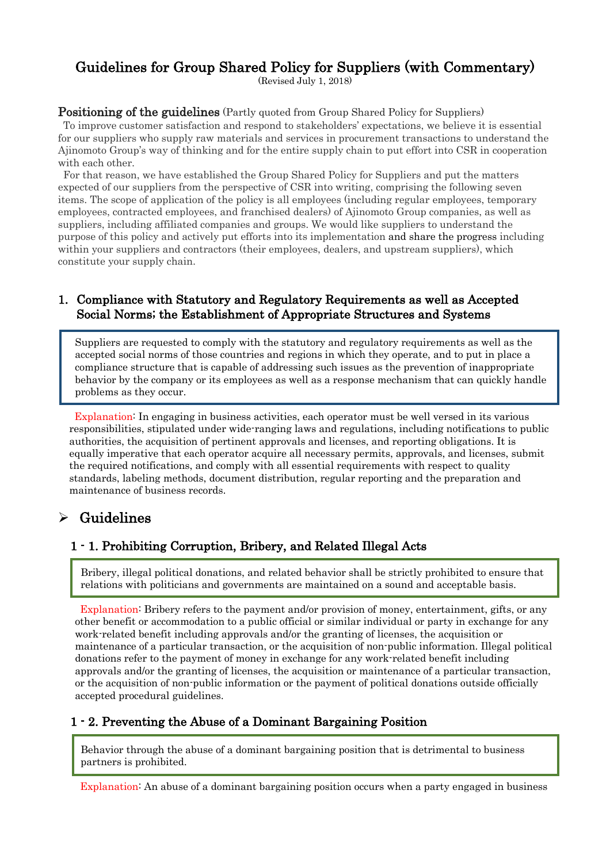# Guidelines for Group Shared Policy for Suppliers (with Commentary)

(Revised July 1, 2018)

## Positioning of the guidelines (Partly quoted from Group Shared Policy for Suppliers)

To improve customer satisfaction and respond to stakeholders' expectations, we believe it is essential for our suppliers who supply raw materials and services in procurement transactions to understand the Ajinomoto Group's way of thinking and for the entire supply chain to put effort into CSR in cooperation with each other.

For that reason, we have established the Group Shared Policy for Suppliers and put the matters expected of our suppliers from the perspective of CSR into writing, comprising the following seven items. The scope of application of the policy is all employees (including regular employees, temporary employees, contracted employees, and franchised dealers) of Ajinomoto Group companies, as well as suppliers, including affiliated companies and groups. We would like suppliers to understand the purpose of this policy and actively put efforts into its implementation and share the progress including within your suppliers and contractors (their employees, dealers, and upstream suppliers), which constitute your supply chain.

### 1. Compliance with Statutory and Regulatory Requirements as well as Accepted Social Norms; the Establishment of Appropriate Structures and Systems

Suppliers are requested to comply with the statutory and regulatory requirements as well as the accepted social norms of those countries and regions in which they operate, and to put in place a compliance structure that is capable of addressing such issues as the prevention of inappropriate behavior by the company or its employees as well as a response mechanism that can quickly handle problems as they occur.

Explanation: In engaging in business activities, each operator must be well versed in its various responsibilities, stipulated under wide-ranging laws and regulations, including notifications to public authorities, the acquisition of pertinent approvals and licenses, and reporting obligations. It is equally imperative that each operator acquire all necessary permits, approvals, and licenses, submit the required notifications, and comply with all essential requirements with respect to quality standards, labeling methods, document distribution, regular reporting and the preparation and maintenance of business records.

# $\triangleright$  Guidelines

i

## 1 - 1. Prohibiting Corruption, Bribery, and Related Illegal Acts

Bribery, illegal political donations, and related behavior shall be strictly prohibited to ensure that relations with politicians and governments are maintained on a sound and acceptable basis.

Explanation: Bribery refers to the payment and/or provision of money, entertainment, gifts, or any other benefit or accommodation to a public official or similar individual or party in exchange for any work-related benefit including approvals and/or the granting of licenses, the acquisition or maintenance of a particular transaction, or the acquisition of non-public information. Illegal political donations refer to the payment of money in exchange for any work-related benefit including approvals and/or the granting of licenses, the acquisition or maintenance of a particular transaction, or the acquisition of non-public information or the payment of political donations outside officially accepted procedural guidelines.

### 1 - 2. Preventing the Abuse of a Dominant Bargaining Position

Behavior through the abuse of a dominant bargaining position that is detrimental to business partners is prohibited.

Explanation: An abuse of a dominant bargaining position occurs when a party engaged in business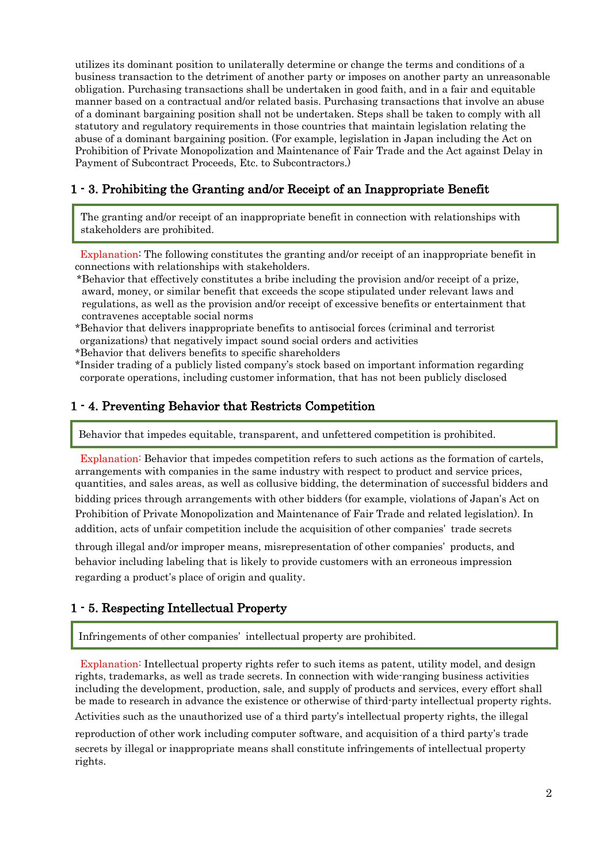utilizes its dominant position to unilaterally determine or change the terms and conditions of a business transaction to the detriment of another party or imposes on another party an unreasonable obligation. Purchasing transactions shall be undertaken in good faith, and in a fair and equitable manner based on a contractual and/or related basis. Purchasing transactions that involve an abuse of a dominant bargaining position shall not be undertaken. Steps shall be taken to comply with all statutory and regulatory requirements in those countries that maintain legislation relating the abuse of a dominant bargaining position. (For example, legislation in Japan including the Act on Prohibition of Private Monopolization and Maintenance of Fair Trade and the Act against Delay in Payment of Subcontract Proceeds, Etc. to Subcontractors.)

## 1 - 3. Prohibiting the Granting and/or Receipt of an Inappropriate Benefit

The granting and/or receipt of an inappropriate benefit in connection with relationships with stakeholders are prohibited.

Explanation: The following constitutes the granting and/or receipt of an inappropriate benefit in connections with relationships with stakeholders.

- \*Behavior that effectively constitutes a bribe including the provision and/or receipt of a prize, award, money, or similar benefit that exceeds the scope stipulated under relevant laws and regulations, as well as the provision and/or receipt of excessive benefits or entertainment that contravenes acceptable social norms
- \*Behavior that delivers inappropriate benefits to antisocial forces (criminal and terrorist organizations) that negatively impact sound social orders and activities
- \*Behavior that delivers benefits to specific shareholders
- \*Insider trading of a publicly listed company's stock based on important information regarding corporate operations, including customer information, that has not been publicly disclosed

### 1 - 4. Preventing Behavior that Restricts Competition

Behavior that impedes equitable, transparent, and unfettered competition is prohibited.

Explanation: Behavior that impedes competition refers to such actions as the formation of cartels, arrangements with companies in the same industry with respect to product and service prices, quantities, and sales areas, as well as collusive bidding, the determination of successful bidders and bidding prices through arrangements with other bidders (for example, violations of Japan's Act on Prohibition of Private Monopolization and Maintenance of Fair Trade and related legislation). In addition, acts of unfair competition include the acquisition of other companies' trade secrets

through illegal and/or improper means, misrepresentation of other companies' products, and behavior including labeling that is likely to provide customers with an erroneous impression regarding a product's place of origin and quality.

### 1 - 5. Respecting Intellectual Property

Infringements of other companies' intellectual property are prohibited.

Explanation: Intellectual property rights refer to such items as patent, utility model, and design rights, trademarks, as well as trade secrets. In connection with wide-ranging business activities including the development, production, sale, and supply of products and services, every effort shall be made to research in advance the existence or otherwise of third-party intellectual property rights. Activities such as the unauthorized use of a third party's intellectual property rights, the illegal

reproduction of other work including computer software, and acquisition of a third party's trade secrets by illegal or inappropriate means shall constitute infringements of intellectual property rights.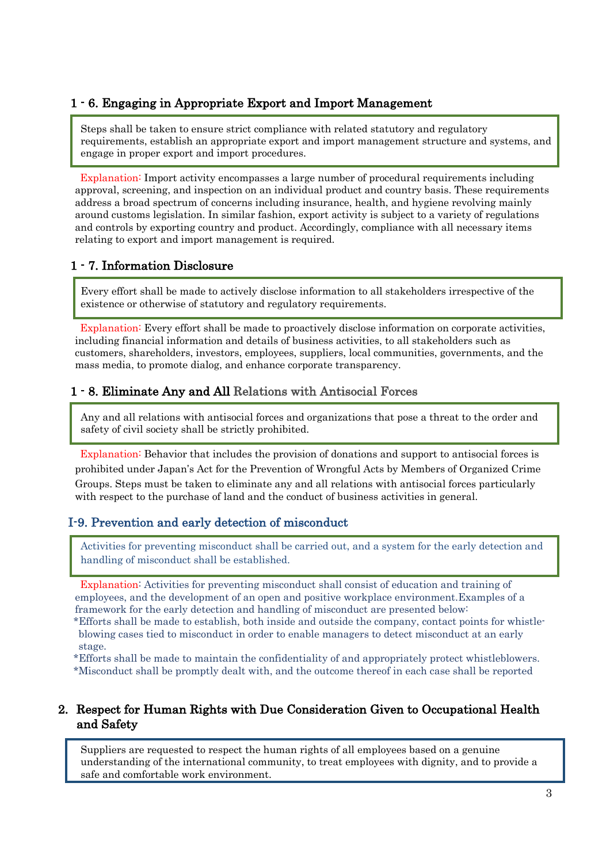## 1 - 6. Engaging in Appropriate Export and Import Management

Steps shall be taken to ensure strict compliance with related statutory and regulatory requirements, establish an appropriate export and import management structure and systems, and engage in proper export and import procedures.

Explanation: Import activity encompasses a large number of procedural requirements including approval, screening, and inspection on an individual product and country basis. These requirements address a broad spectrum of concerns including insurance, health, and hygiene revolving mainly around customs legislation. In similar fashion, export activity is subject to a variety of regulations and controls by exporting country and product. Accordingly, compliance with all necessary items relating to export and import management is required.

## 1 - 7. Information Disclosure

Every effort shall be made to actively disclose information to all stakeholders irrespective of the existence or otherwise of statutory and regulatory requirements.

Explanation: Every effort shall be made to proactively disclose information on corporate activities, including financial information and details of business activities, to all stakeholders such as customers, shareholders, investors, employees, suppliers, local communities, governments, and the mass media, to promote dialog, and enhance corporate transparency.

## 1 - 8. Eliminate Any and All Relations with Antisocial Forces

Any and all relations with antisocial forces and organizations that pose a threat to the order and safety of civil society shall be strictly prohibited.

Explanation: Behavior that includes the provision of donations and support to antisocial forces is prohibited under Japan's Act for the Prevention of Wrongful Acts by Members of Organized Crime Groups. Steps must be taken to eliminate any and all relations with antisocial forces particularly with respect to the purchase of land and the conduct of business activities in general.

## I-9. Prevention and early detection of misconduct

Activities for preventing misconduct shall be carried out, and a system for the early detection and handling of misconduct shall be established.

Explanation: Activities for preventing misconduct shall consist of education and training of employees, and the development of an open and positive workplace environment.Examples of a framework for the early detection and handling of misconduct are presented below:

\*Efforts shall be made to establish, both inside and outside the company, contact points for whistleblowing cases tied to misconduct in order to enable managers to detect misconduct at an early stage.

\*Efforts shall be made to maintain the confidentiality of and appropriately protect whistleblowers. \*Misconduct shall be promptly dealt with, and the outcome thereof in each case shall be reported

### 2. Respect for Human Rights with Due Consideration Given to Occupational Health and Safety

Suppliers are requested to respect the human rights of all employees based on a genuine understanding of the international community, to treat employees with dignity, and to provide a safe and comfortable work environment.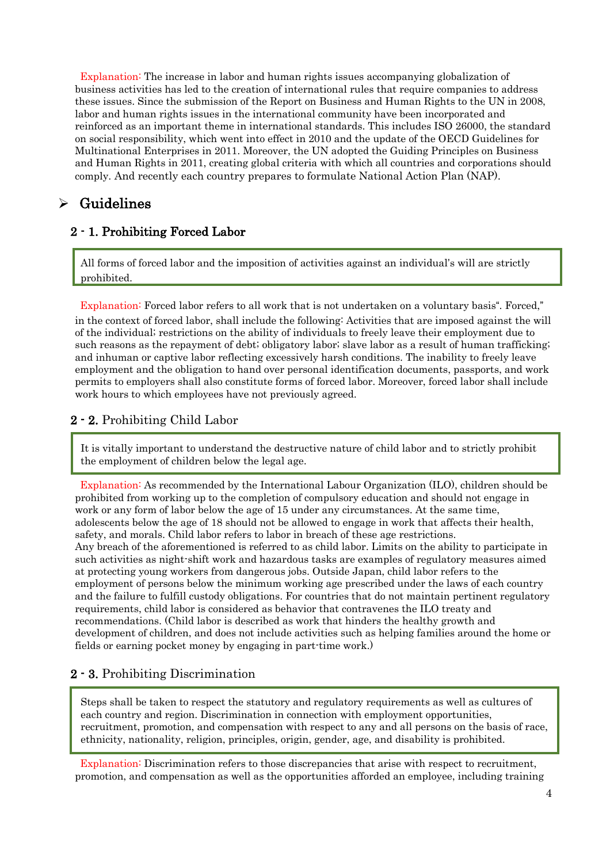Explanation: The increase in labor and human rights issues accompanying globalization of business activities has led to the creation of international rules that require companies to address these issues. Since the submission of the Report on Business and Human Rights to the UN in 2008, labor and human rights issues in the international community have been incorporated and reinforced as an important theme in international standards. This includes ISO 26000, the standard on social responsibility, which went into effect in 2010 and the update of the OECD Guidelines for Multinational Enterprises in 2011. Moreover, the UN adopted the Guiding Principles on Business and Human Rights in 2011, creating global criteria with which all countries and corporations should comply. And recently each country prepares to formulate National Action Plan (NAP).

## $\triangleright$  Guidelines

## 2 - 1. Prohibiting Forced Labor

All forms of forced labor and the imposition of activities against an individual's will are strictly prohibited.

Explanation: Forced labor refers to all work that is not undertaken on a voluntary basis". Forced," in the context of forced labor, shall include the following: Activities that are imposed against the will of the individual; restrictions on the ability of individuals to freely leave their employment due to such reasons as the repayment of debt; obligatory labor; slave labor as a result of human trafficking; and inhuman or captive labor reflecting excessively harsh conditions. The inability to freely leave employment and the obligation to hand over personal identification documents, passports, and work permits to employers shall also constitute forms of forced labor. Moreover, forced labor shall include work hours to which employees have not previously agreed.

## 2 - 2. Prohibiting Child Labor

It is vitally important to understand the destructive nature of child labor and to strictly prohibit the employment of children below the legal age.

Explanation: As recommended by the International Labour Organization (ILO), children should be prohibited from working up to the completion of compulsory education and should not engage in work or any form of labor below the age of 15 under any circumstances. At the same time, adolescents below the age of 18 should not be allowed to engage in work that affects their health, safety, and morals. Child labor refers to labor in breach of these age restrictions. Any breach of the aforementioned is referred to as child labor. Limits on the ability to participate in such activities as night-shift work and hazardous tasks are examples of regulatory measures aimed at protecting young workers from dangerous jobs. Outside Japan, child labor refers to the employment of persons below the minimum working age prescribed under the laws of each country and the failure to fulfill custody obligations. For countries that do not maintain pertinent regulatory requirements, child labor is considered as behavior that contravenes the ILO treaty and recommendations. (Child labor is described as work that hinders the healthy growth and development of children, and does not include activities such as helping families around the home or fields or earning pocket money by engaging in part-time work.)

## 2 - 3. Prohibiting Discrimination

Steps shall be taken to respect the statutory and regulatory requirements as well as cultures of each country and region. Discrimination in connection with employment opportunities, recruitment, promotion, and compensation with respect to any and all persons on the basis of race, ethnicity, nationality, religion, principles, origin, gender, age, and disability is prohibited.

Explanation: Discrimination refers to those discrepancies that arise with respect to recruitment, promotion, and compensation as well as the opportunities afforded an employee, including training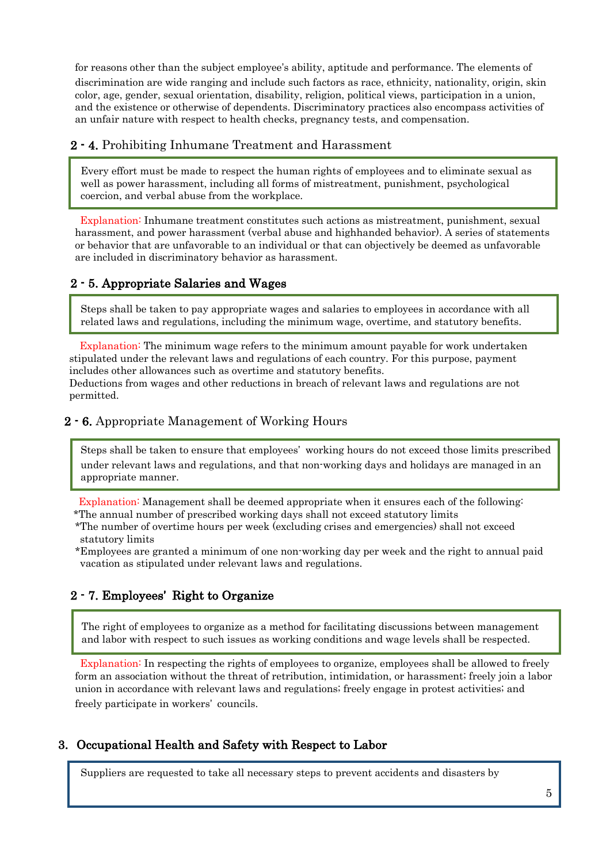for reasons other than the subject employee's ability, aptitude and performance. The elements of discrimination are wide ranging and include such factors as race, ethnicity, nationality, origin, skin color, age, gender, sexual orientation, disability, religion, political views, participation in a union, and the existence or otherwise of dependents. Discriminatory practices also encompass activities of an unfair nature with respect to health checks, pregnancy tests, and compensation.

## 2 - 4. Prohibiting Inhumane Treatment and Harassment

Every effort must be made to respect the human rights of employees and to eliminate sexual as well as power harassment, including all forms of mistreatment, punishment, psychological coercion, and verbal abuse from the workplace.

Explanation: Inhumane treatment constitutes such actions as mistreatment, punishment, sexual harassment, and power harassment (verbal abuse and highhanded behavior). A series of statements or behavior that are unfavorable to an individual or that can objectively be deemed as unfavorable are included in discriminatory behavior as harassment.

## 2 - 5. Appropriate Salaries and Wages

Steps shall be taken to pay appropriate wages and salaries to employees in accordance with all related laws and regulations, including the minimum wage, overtime, and statutory benefits.

Explanation: The minimum wage refers to the minimum amount payable for work undertaken stipulated under the relevant laws and regulations of each country. For this purpose, payment includes other allowances such as overtime and statutory benefits.

Deductions from wages and other reductions in breach of relevant laws and regulations are not permitted.

## 2 - 6. Appropriate Management of Working Hours

Steps shall be taken to ensure that employees' working hours do not exceed those limits prescribed under relevant laws and regulations, and that non-working days and holidays are managed in an appropriate manner.

Explanation: Management shall be deemed appropriate when it ensures each of the following: \*The annual number of prescribed working days shall not exceed statutory limits

- \*The number of overtime hours per week (excluding crises and emergencies) shall not exceed statutory limits
- \*Employees are granted a minimum of one non-working day per week and the right to annual paid vacation as stipulated under relevant laws and regulations.

## 2 - 7. Employees' Right to Organize

The right of employees to organize as a method for facilitating discussions between management and labor with respect to such issues as working conditions and wage levels shall be respected.

Explanation: In respecting the rights of employees to organize, employees shall be allowed to freely form an association without the threat of retribution, intimidation, or harassment; freely join a labor union in accordance with relevant laws and regulations; freely engage in protest activities; and freely participate in workers' councils.

## 3. Occupational Health and Safety with Respect to Labor

Suppliers are requested to take all necessary steps to prevent accidents and disasters by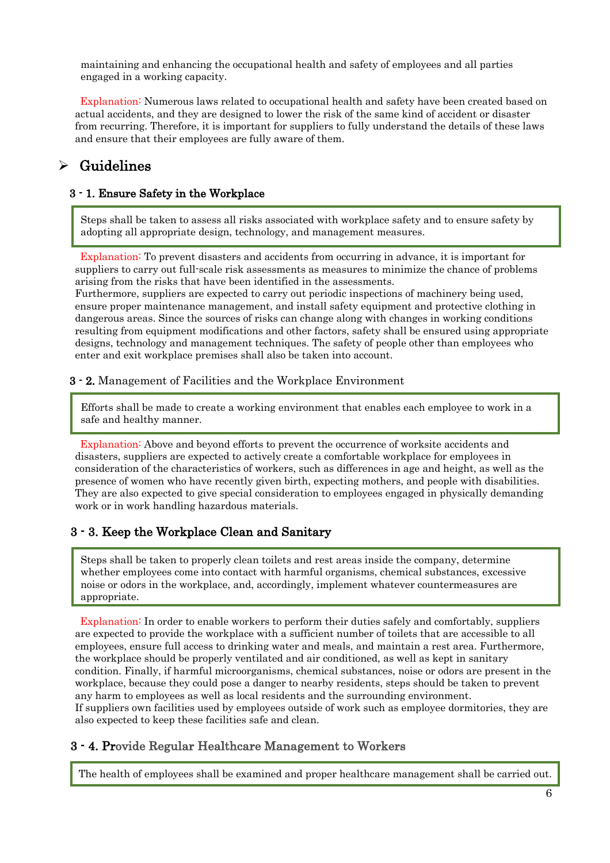maintaining and enhancing the occupational health and safety of employees and all parties engaged in a working capacity.

Explanation: Numerous laws related to occupational health and safety have been created based on actual accidents, and they are designed to lower the risk of the same kind of accident or disaster from recurring. Therefore, it is important for suppliers to fully understand the details of these laws and ensure that their employees are fully aware of them.

# $\triangleright$  Guidelines

 $\overline{a}$ 

#### 3 - 1. Ensure Safety in the Workplace

Steps shall be taken to assess all risks associated with workplace safety and to ensure safety by adopting all appropriate design, technology, and management measures.

Explanation: To prevent disasters and accidents from occurring in advance, it is important for suppliers to carry out full-scale risk assessments as measures to minimize the chance of problems arising from the risks that have been identified in the assessments.

Furthermore, suppliers are expected to carry out periodic inspections of machinery being used, ensure proper maintenance management, and install safety equipment and protective clothing in dangerous areas. Since the sources of risks can change along with changes in working conditions resulting from equipment modifications and other factors, safety shall be ensured using appropriate designs, technology and management techniques. The safety of people other than employees who enter and exit workplace premises shall also be taken into account.

#### 3 - 2. Management of Facilities and the Workplace Environment

Efforts shall be made to create a working environment that enables each employee to work in a safe and healthy manner.

Explanation: Above and beyond efforts to prevent the occurrence of worksite accidents and disasters, suppliers are expected to actively create a comfortable workplace for employees in consideration of the characteristics of workers, such as differences in age and height, as well as the presence of women who have recently given birth, expecting mothers, and people with disabilities. They are also expected to give special consideration to employees engaged in physically demanding work or in work handling hazardous materials.

### 3 - 3. Keep the Workplace Clean and Sanitary

Steps shall be taken to properly clean toilets and rest areas inside the company, determine whether employees come into contact with harmful organisms, chemical substances, excessive noise or odors in the workplace, and, accordingly, implement whatever countermeasures are appropriate.

Explanation: In order to enable workers to perform their duties safely and comfortably, suppliers are expected to provide the workplace with a sufficient number of toilets that are accessible to all employees, ensure full access to drinking water and meals, and maintain a rest area. Furthermore, the workplace should be properly ventilated and air conditioned, as well as kept in sanitary condition. Finally, if harmful microorganisms, chemical substances, noise or odors are present in the workplace, because they could pose a danger to nearby residents, steps should be taken to prevent any harm to employees as well as local residents and the surrounding environment. If suppliers own facilities used by employees outside of work such as employee dormitories, they are also expected to keep these facilities safe and clean.

### 3 - 4. Provide Regular Healthcare Management to Workers

The health of employees shall be examined and proper healthcare management shall be carried out.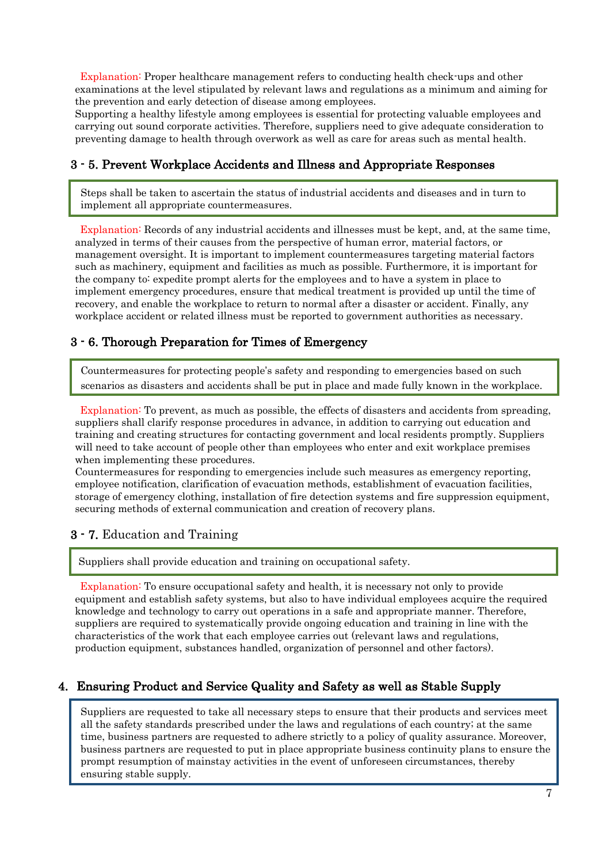Explanation: Proper healthcare management refers to conducting health check-ups and other examinations at the level stipulated by relevant laws and regulations as a minimum and aiming for the prevention and early detection of disease among employees.

Supporting a healthy lifestyle among employees is essential for protecting valuable employees and carrying out sound corporate activities. Therefore, suppliers need to give adequate consideration to preventing damage to health through overwork as well as care for areas such as mental health.

## 3 - 5. Prevent Workplace Accidents and Illness and Appropriate Responses

Steps shall be taken to ascertain the status of industrial accidents and diseases and in turn to implement all appropriate countermeasures.

Explanation: Records of any industrial accidents and illnesses must be kept, and, at the same time, analyzed in terms of their causes from the perspective of human error, material factors, or management oversight. It is important to implement countermeasures targeting material factors such as machinery, equipment and facilities as much as possible. Furthermore, it is important for the company to: expedite prompt alerts for the employees and to have a system in place to implement emergency procedures, ensure that medical treatment is provided up until the time of recovery, and enable the workplace to return to normal after a disaster or accident. Finally, any workplace accident or related illness must be reported to government authorities as necessary.

### 3 - 6. Thorough Preparation for Times of Emergency

Countermeasures for protecting people's safety and responding to emergencies based on such scenarios as disasters and accidents shall be put in place and made fully known in the workplace.

Explanation: To prevent, as much as possible, the effects of disasters and accidents from spreading. suppliers shall clarify response procedures in advance, in addition to carrying out education and training and creating structures for contacting government and local residents promptly. Suppliers will need to take account of people other than employees who enter and exit workplace premises when implementing these procedures.

Countermeasures for responding to emergencies include such measures as emergency reporting, employee notification, clarification of evacuation methods, establishment of evacuation facilities, storage of emergency clothing, installation of fire detection systems and fire suppression equipment, securing methods of external communication and creation of recovery plans.

### 3 - 7. Education and Training

ī

Suppliers shall provide education and training on occupational safety.

Explanation: To ensure occupational safety and health, it is necessary not only to provide equipment and establish safety systems, but also to have individual employees acquire the required knowledge and technology to carry out operations in a safe and appropriate manner. Therefore, suppliers are required to systematically provide ongoing education and training in line with the characteristics of the work that each employee carries out (relevant laws and regulations, production equipment, substances handled, organization of personnel and other factors).

## 4. Ensuring Product and Service Quality and Safety as well as Stable Supply

Suppliers are requested to take all necessary steps to ensure that their products and services meet all the safety standards prescribed under the laws and regulations of each country; at the same time, business partners are requested to adhere strictly to a policy of quality assurance. Moreover, business partners are requested to put in place appropriate business continuity plans to ensure the prompt resumption of mainstay activities in the event of unforeseen circumstances, thereby ensuring stable supply.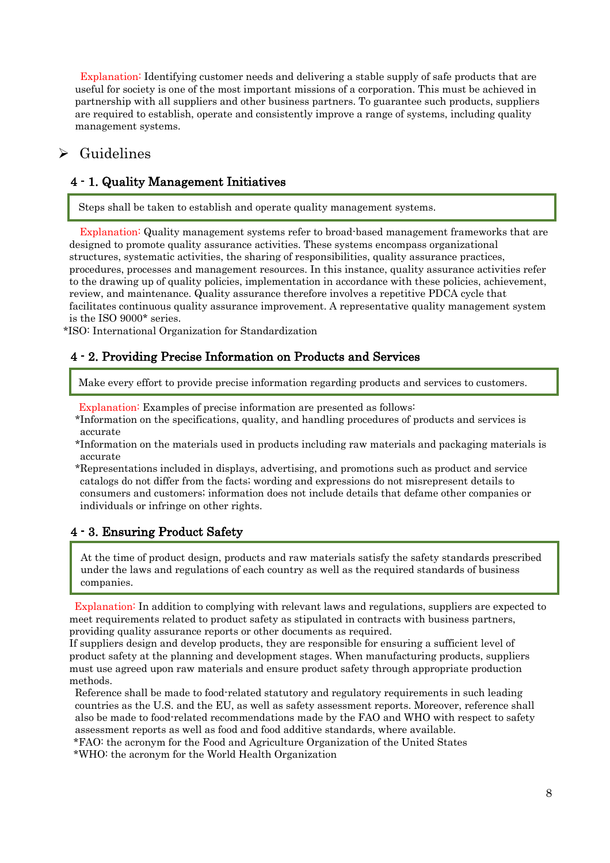Explanation: Identifying customer needs and delivering a stable supply of safe products that are useful for society is one of the most important missions of a corporation. This must be achieved in partnership with all suppliers and other business partners. To guarantee such products, suppliers are required to establish, operate and consistently improve a range of systems, including quality management systems.

# $\triangleright$  Guidelines

## 4 - 1. Quality Management Initiatives

Steps shall be taken to establish and operate quality management systems.

Explanation: Quality management systems refer to broad-based management frameworks that are designed to promote quality assurance activities. These systems encompass organizational structures, systematic activities, the sharing of responsibilities, quality assurance practices, procedures, processes and management resources. In this instance, quality assurance activities refer to the drawing up of quality policies, implementation in accordance with these policies, achievement, review, and maintenance. Quality assurance therefore involves a repetitive PDCA cycle that facilitates continuous quality assurance improvement. A representative quality management system is the ISO 9000\* series.

\*ISO: International Organization for Standardization

### 4 - 2. Providing Precise Information on Products and Services

Make every effort to provide precise information regarding products and services to customers.

Explanation: Examples of precise information are presented as follows:

- \*Information on the specifications, quality, and handling procedures of products and services is accurate
- \*Information on the materials used in products including raw materials and packaging materials is accurate
- \*Representations included in displays, advertising, and promotions such as product and service catalogs do not differ from the facts; wording and expressions do not misrepresent details to consumers and customers; information does not include details that defame other companies or individuals or infringe on other rights.

## 4 - 3. Ensuring Product Safety

At the time of product design, products and raw materials satisfy the safety standards prescribed under the laws and regulations of each country as well as the required standards of business companies.

Explanation: In addition to complying with relevant laws and regulations, suppliers are expected to meet requirements related to product safety as stipulated in contracts with business partners, providing quality assurance reports or other documents as required.

If suppliers design and develop products, they are responsible for ensuring a sufficient level of product safety at the planning and development stages. When manufacturing products, suppliers must use agreed upon raw materials and ensure product safety through appropriate production methods.

Reference shall be made to food-related statutory and regulatory requirements in such leading countries as the U.S. and the EU, as well as safety assessment reports. Moreover, reference shall also be made to food-related recommendations made by the FAO and WHO with respect to safety assessment reports as well as food and food additive standards, where available.

\*FAO: the acronym for the Food and Agriculture Organization of the United States

\*WHO: the acronym for the World Health Organization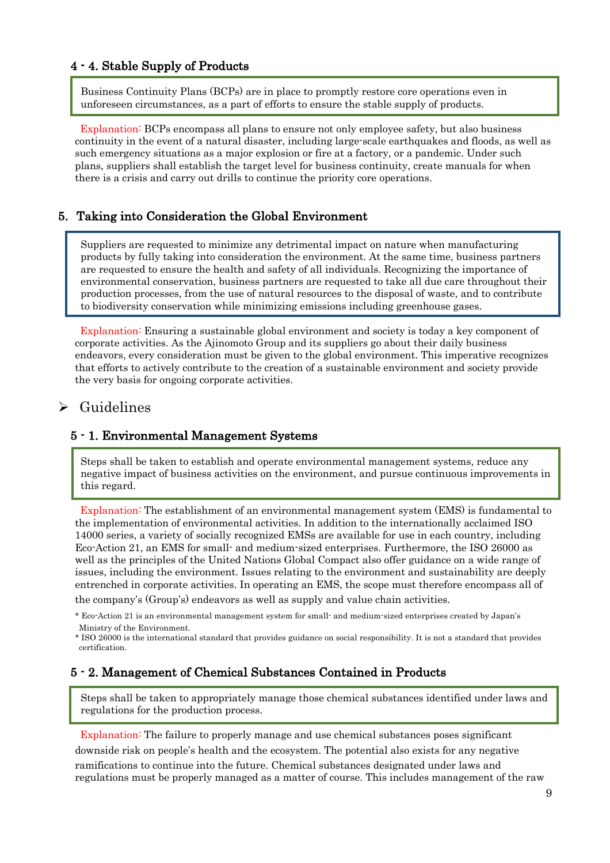#### 4 - 4. Stable Supply of Products

Business Continuity Plans (BCPs) are in place to promptly restore core operations even in unforeseen circumstances, as a part of efforts to ensure the stable supply of products.

Explanation: BCPs encompass all plans to ensure not only employee safety, but also business continuity in the event of a natural disaster, including large-scale earthquakes and floods, as well as such emergency situations as a major explosion or fire at a factory, or a pandemic. Under such plans, suppliers shall establish the target level for business continuity, create manuals for when there is a crisis and carry out drills to continue the priority core operations.

#### 5. Taking into Consideration the Global Environment

Suppliers are requested to minimize any detrimental impact on nature when manufacturing products by fully taking into consideration the environment. At the same time, business partners are requested to ensure the health and safety of all individuals. Recognizing the importance of environmental conservation, business partners are requested to take all due care throughout their production processes, from the use of natural resources to the disposal of waste, and to contribute to biodiversity conservation while minimizing emissions including greenhouse gases.

Explanation: Ensuring a sustainable global environment and society is today a key component of corporate activities. As the Ajinomoto Group and its suppliers go about their daily business endeavors, every consideration must be given to the global environment. This imperative recognizes that efforts to actively contribute to the creation of a sustainable environment and society provide the very basis for ongoing corporate activities.

## $\triangleright$  Guidelines

#### 5 - 1. Environmental Management Systems

Steps shall be taken to establish and operate environmental management systems, reduce any negative impact of business activities on the environment, and pursue continuous improvements in this regard.

Explanation: The establishment of an environmental management system (EMS) is fundamental to the implementation of environmental activities. In addition to the internationally acclaimed ISO 14000 series, a variety of socially recognized EMSs are available for use in each country, including Eco-Action 21, an EMS for small- and medium-sized enterprises. Furthermore, the ISO 26000 as well as the principles of the United Nations Global Compact also offer guidance on a wide range of issues, including the environment. Issues relating to the environment and sustainability are deeply entrenched in corporate activities. In operating an EMS, the scope must therefore encompass all of

the company's (Group's) endeavors as well as supply and value chain activities.

#### 5 - 2. Management of Chemical Substances Contained in Products

Steps shall be taken to appropriately manage those chemical substances identified under laws and regulations for the production process.

Explanation: The failure to properly manage and use chemical substances poses significant downside risk on people's health and the ecosystem. The potential also exists for any negative ramifications to continue into the future. Chemical substances designated under laws and regulations must be properly managed as a matter of course. This includes management of the raw

<sup>\*</sup> Eco-Action 21 is an environmental management system for small- and medium-sized enterprises created by Japan's Ministry of the Environment.

<sup>\*</sup> ISO 26000 is the international standard that provides guidance on social responsibility. It is not a standard that provides certification.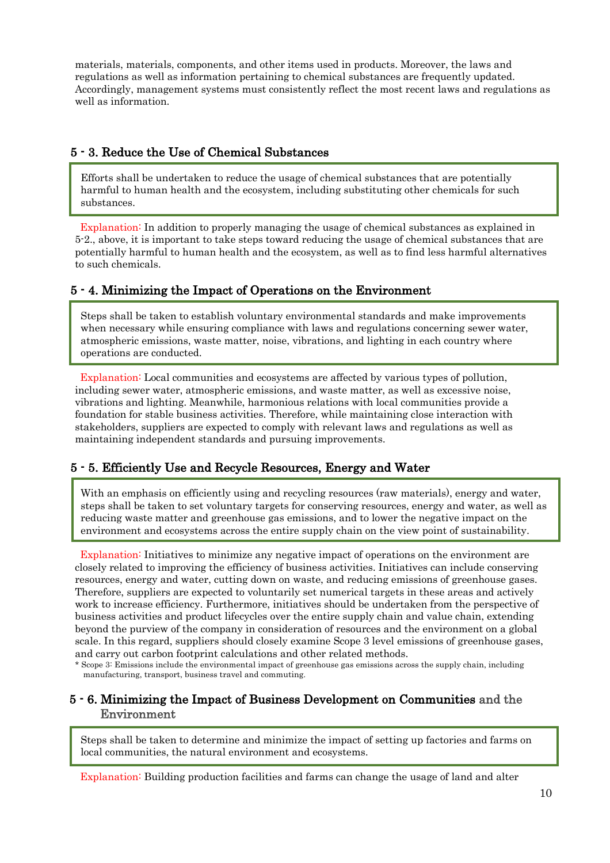materials, materials, components, and other items used in products. Moreover, the laws and regulations as well as information pertaining to chemical substances are frequently updated. Accordingly, management systems must consistently reflect the most recent laws and regulations as well as information.

### 5 - 3. Reduce the Use of Chemical Substances

Efforts shall be undertaken to reduce the usage of chemical substances that are potentially harmful to human health and the ecosystem, including substituting other chemicals for such substances.

Explanation: In addition to properly managing the usage of chemical substances as explained in 5-2., above, it is important to take steps toward reducing the usage of chemical substances that are potentially harmful to human health and the ecosystem, as well as to find less harmful alternatives to such chemicals.

## 5 - 4. Minimizing the Impact of Operations on the Environment

Steps shall be taken to establish voluntary environmental standards and make improvements when necessary while ensuring compliance with laws and regulations concerning sewer water, atmospheric emissions, waste matter, noise, vibrations, and lighting in each country where operations are conducted.

Explanation: Local communities and ecosystems are affected by various types of pollution, including sewer water, atmospheric emissions, and waste matter, as well as excessive noise, vibrations and lighting. Meanwhile, harmonious relations with local communities provide a foundation for stable business activities. Therefore, while maintaining close interaction with stakeholders, suppliers are expected to comply with relevant laws and regulations as well as maintaining independent standards and pursuing improvements.

## 5 - 5. Efficiently Use and Recycle Resources, Energy and Water

With an emphasis on efficiently using and recycling resources (raw materials), energy and water, steps shall be taken to set voluntary targets for conserving resources, energy and water, as well as reducing waste matter and greenhouse gas emissions, and to lower the negative impact on the environment and ecosystems across the entire supply chain on the view point of sustainability.

Explanation: Initiatives to minimize any negative impact of operations on the environment are closely related to improving the efficiency of business activities. Initiatives can include conserving resources, energy and water, cutting down on waste, and reducing emissions of greenhouse gases. Therefore, suppliers are expected to voluntarily set numerical targets in these areas and actively work to increase efficiency. Furthermore, initiatives should be undertaken from the perspective of business activities and product lifecycles over the entire supply chain and value chain, extending beyond the purview of the company in consideration of resources and the environment on a global scale. In this regard, suppliers should closely examine Scope 3 level emissions of greenhouse gases, and carry out carbon footprint calculations and other related methods.

\* Scope 3: Emissions include the environmental impact of greenhouse gas emissions across the supply chain, including manufacturing, transport, business travel and commuting.

## 5 - 6. Minimizing the Impact of Business Development on Communities and the Environment

Steps shall be taken to determine and minimize the impact of setting up factories and farms on local communities, the natural environment and ecosystems.

Explanation: Building production facilities and farms can change the usage of land and alter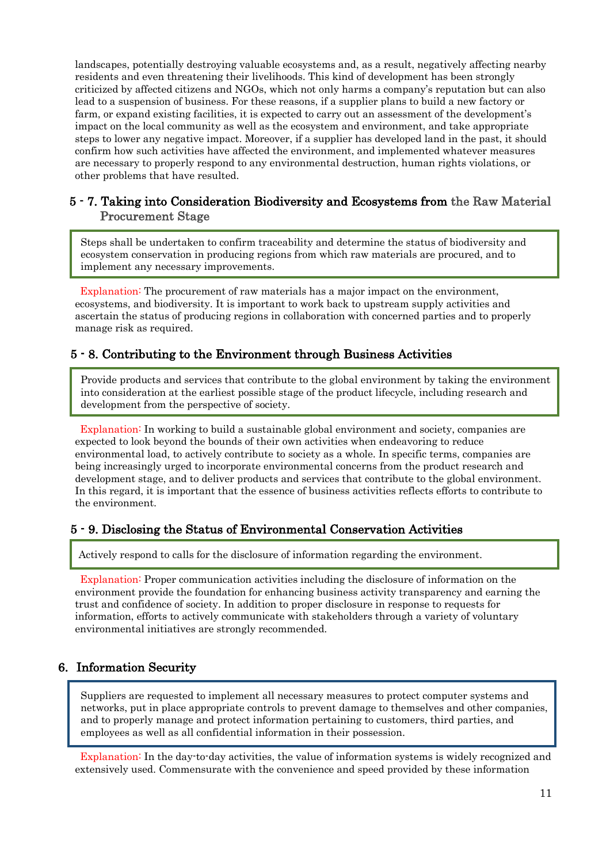landscapes, potentially destroying valuable ecosystems and, as a result, negatively affecting nearby residents and even threatening their livelihoods. This kind of development has been strongly criticized by affected citizens and NGOs, which not only harms a company's reputation but can also lead to a suspension of business. For these reasons, if a supplier plans to build a new factory or farm, or expand existing facilities, it is expected to carry out an assessment of the development's impact on the local community as well as the ecosystem and environment, and take appropriate steps to lower any negative impact. Moreover, if a supplier has developed land in the past, it should confirm how such activities have affected the environment, and implemented whatever measures are necessary to properly respond to any environmental destruction, human rights violations, or other problems that have resulted.

### 5 - 7. Taking into Consideration Biodiversity and Ecosystems from the Raw Material Procurement Stage

Steps shall be undertaken to confirm traceability and determine the status of biodiversity and ecosystem conservation in producing regions from which raw materials are procured, and to implement any necessary improvements.

Explanation: The procurement of raw materials has a major impact on the environment, ecosystems, and biodiversity. It is important to work back to upstream supply activities and ascertain the status of producing regions in collaboration with concerned parties and to properly manage risk as required.

### 5 - 8. Contributing to the Environment through Business Activities

Provide products and services that contribute to the global environment by taking the environment into consideration at the earliest possible stage of the product lifecycle, including research and development from the perspective of society.

Explanation: In working to build a sustainable global environment and society, companies are expected to look beyond the bounds of their own activities when endeavoring to reduce environmental load, to actively contribute to society as a whole. In specific terms, companies are being increasingly urged to incorporate environmental concerns from the product research and development stage, and to deliver products and services that contribute to the global environment. In this regard, it is important that the essence of business activities reflects efforts to contribute to the environment.

### 5 - 9. Disclosing the Status of Environmental Conservation Activities

Actively respond to calls for the disclosure of information regarding the environment.

Explanation: Proper communication activities including the disclosure of information on the environment provide the foundation for enhancing business activity transparency and earning the trust and confidence of society. In addition to proper disclosure in response to requests for information, efforts to actively communicate with stakeholders through a variety of voluntary environmental initiatives are strongly recommended.

## 6. Information Security

Suppliers are requested to implement all necessary measures to protect computer systems and networks, put in place appropriate controls to prevent damage to themselves and other companies, and to properly manage and protect information pertaining to customers, third parties, and employees as well as all confidential information in their possession.

Explanation: In the day-to-day activities, the value of information systems is widely recognized and extensively used. Commensurate with the convenience and speed provided by these information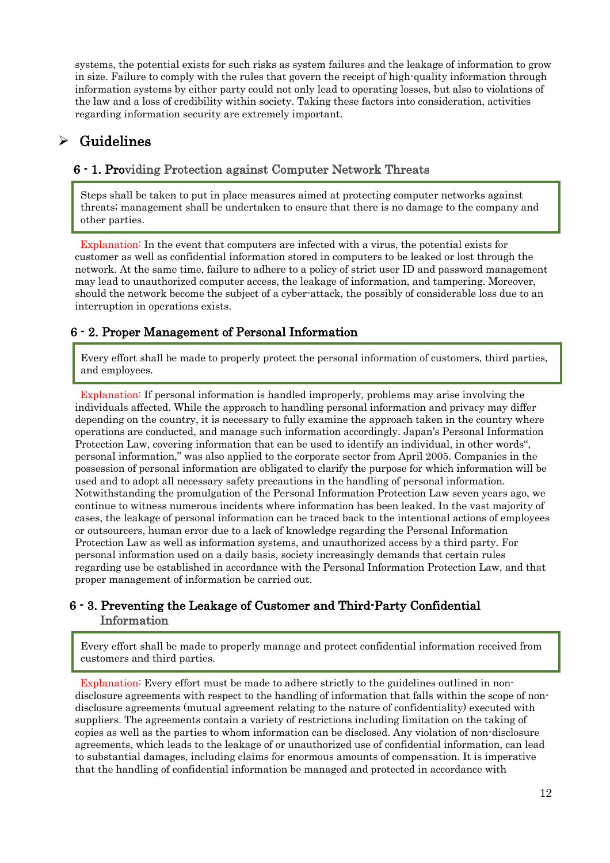systems, the potential exists for such risks as system failures and the leakage of information to grow in size. Failure to comply with the rules that govern the receipt of high-quality information through information systems by either party could not only lead to operating losses, but also to violations of the law and a loss of credibility within society. Taking these factors into consideration, activities regarding information security are extremely important.

# $\triangleright$  Guidelines

## 6 - 1. Providing Protection against Computer Network Threats

Steps shall be taken to put in place measures aimed at protecting computer networks against threats; management shall be undertaken to ensure that there is no damage to the company and other parties.

Explanation: In the event that computers are infected with a virus, the potential exists for customer as well as confidential information stored in computers to be leaked or lost through the network. At the same time, failure to adhere to a policy of strict user ID and password management may lead to unauthorized computer access, the leakage of information, and tampering. Moreover, should the network become the subject of a cyber-attack, the possibly of considerable loss due to an interruption in operations exists.

## 6 - 2. Proper Management of Personal Information

Every effort shall be made to properly protect the personal information of customers, third parties, and employees.

Explanation: If personal information is handled improperly, problems may arise involving the individuals affected. While the approach to handling personal information and privacy may differ depending on the country, it is necessary to fully examine the approach taken in the country where operations are conducted, and manage such information accordingly. Japan's Personal Information Protection Law, covering information that can be used to identify an individual, in other words", personal information," was also applied to the corporate sector from April 2005. Companies in the possession of personal information are obligated to clarify the purpose for which information will be used and to adopt all necessary safety precautions in the handling of personal information. Notwithstanding the promulgation of the Personal Information Protection Law seven years ago, we continue to witness numerous incidents where information has been leaked. In the vast majority of cases, the leakage of personal information can be traced back to the intentional actions of employees or outsourcers, human error due to a lack of knowledge regarding the Personal Information Protection Law as well as information systems, and unauthorized access by a third party. For personal information used on a daily basis, society increasingly demands that certain rules regarding use be established in accordance with the Personal Information Protection Law, and that proper management of information be carried out.

## 6 - 3. Preventing the Leakage of Customer and Third-Party Confidential Information

Every effort shall be made to properly manage and protect confidential information received from customers and third parties.

Explanation: Every effort must be made to adhere strictly to the guidelines outlined in nondisclosure agreements with respect to the handling of information that falls within the scope of nondisclosure agreements (mutual agreement relating to the nature of confidentiality) executed with suppliers. The agreements contain a variety of restrictions including limitation on the taking of copies as well as the parties to whom information can be disclosed. Any violation of non-disclosure agreements, which leads to the leakage of or unauthorized use of confidential information, can lead to substantial damages, including claims for enormous amounts of compensation. It is imperative that the handling of confidential information be managed and protected in accordance with